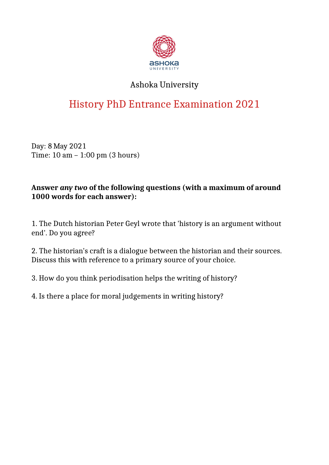

## Ashoka University

# History PhD Entrance Examination 2021

Day: 8 May 2021 Time: 10 am – 1:00 pm (3 hours)

#### **Answer** *any two* **of the following questions (with a maximum of around 1000 words for each answer):**

1. The Dutch historian Peter Geyl wrote that 'history is an argument without end'. Do you agree?

2. The historian's craft is a dialogue between the historian and their sources. Discuss this with reference to a primary source of your choice.

3. How do you think periodisation helps the writing of history?

4. Is there a place for moral judgements in writing history?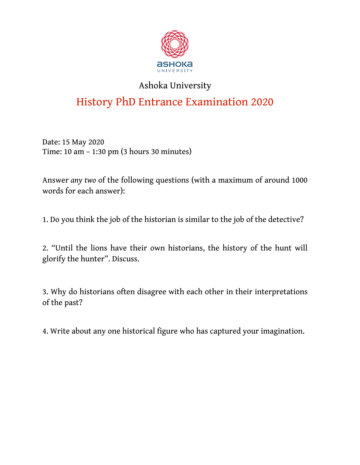

## Ashoka University

# History PhD Entrance Examination 2020

Date: 15 May 2020 Time: 10 am – 1:30 pm (3 hours 30 minutes)

Answer *any two* of the following questions (with a maximum of around 1000 words for each answer):

1. Do you think the job of the historian is similar to the job of the detective?

2. "Until the lions have their own historians, the history of the hunt will glorify the hunter". Discuss.

3. Why do historians often disagree with each other in their interpretations of the past?

4. Write about any one historical figure who has captured your imagination.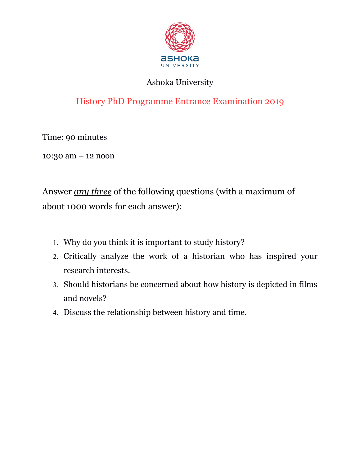

#### Ashoka University

## History PhD Programme Entrance Examination 2019

Time: 90 minutes

10:30 am – 12 noon

Answer *any three* of the following questions (with a maximum of about 1000 words for each answer):

- 1. Why do you think it is important to study history?
- 2. Critically analyze the work of a historian who has inspired your research interests.
- 3. Should historians be concerned about how history is depicted in films and novels?
- 4. Discuss the relationship between history and time.